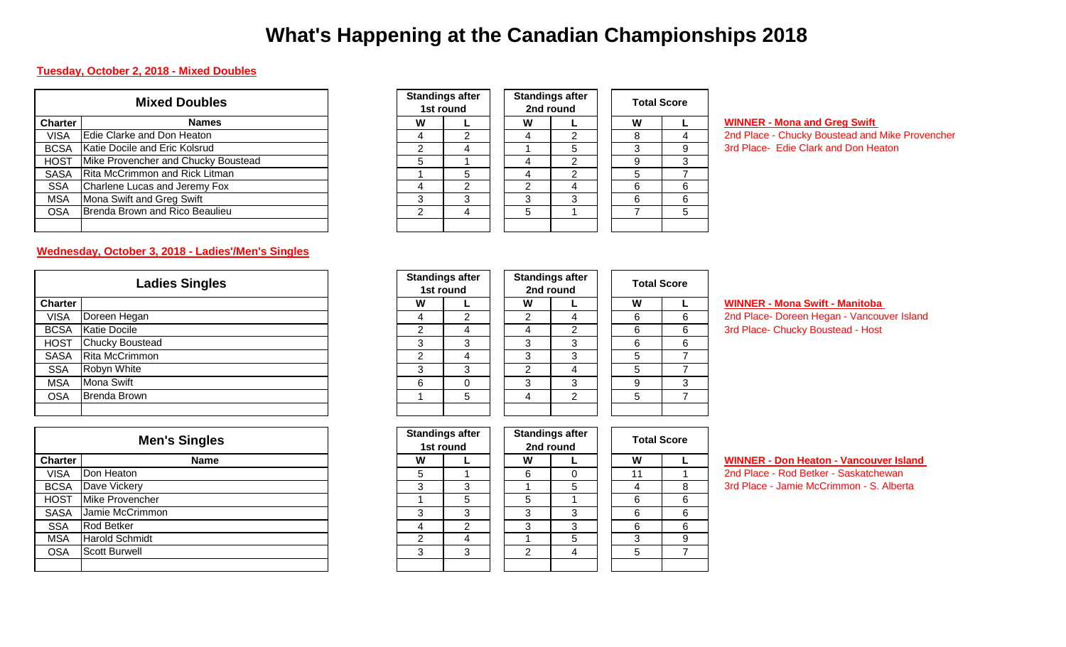# **What's Happening at the Canadian Championships 2018**

#### **Tuesday, October 2, 2018 - Mixed Doubles**

| <b>Mixed Doubles</b> |                                       |   | <b>Standings after</b><br>1st round | <b>Standings after</b><br>2nd round |   | <b>Total Score</b> |  |
|----------------------|---------------------------------------|---|-------------------------------------|-------------------------------------|---|--------------------|--|
| <b>Charter</b>       | <b>Names</b>                          | W |                                     | W                                   |   | W                  |  |
| <b>VISA</b>          | Edie Clarke and Don Heaton            |   |                                     |                                     |   |                    |  |
| <b>BCSA</b>          | Katie Docile and Eric Kolsrud         |   |                                     |                                     |   |                    |  |
| <b>HOST</b>          | Mike Provencher and Chucky Boustead   |   |                                     |                                     | ⌒ |                    |  |
| <b>SASA</b>          | <b>Rita McCrimmon and Rick Litman</b> |   |                                     |                                     |   |                    |  |
| <b>SSA</b>           | Charlene Lucas and Jeremy Fox         |   | c                                   |                                     |   |                    |  |
| <b>MSA</b>           | Mona Swift and Greg Swift             |   | ◠                                   |                                     | з |                    |  |
| <b>OSA</b>           | Brenda Brown and Rico Beaulieu        |   |                                     | 5                                   |   |                    |  |
|                      |                                       |   |                                     |                                     |   |                    |  |

### **Wednesday, October 3, 2018 - Ladies'/Men's Singles**

|                | <b>Ladies Singles</b>  |  |  |  |  |  |  |  |  |
|----------------|------------------------|--|--|--|--|--|--|--|--|
| <b>Charter</b> |                        |  |  |  |  |  |  |  |  |
| <b>VISA</b>    | Doreen Hegan           |  |  |  |  |  |  |  |  |
| <b>BCSA</b>    | <b>Katie Docile</b>    |  |  |  |  |  |  |  |  |
| <b>HOST</b>    | <b>Chucky Boustead</b> |  |  |  |  |  |  |  |  |
| <b>SASA</b>    | <b>Rita McCrimmon</b>  |  |  |  |  |  |  |  |  |
| <b>SSA</b>     | Robyn White            |  |  |  |  |  |  |  |  |
| <b>MSA</b>     | <b>Mona Swift</b>      |  |  |  |  |  |  |  |  |
| <b>OSA</b>     | <b>Brenda Brown</b>    |  |  |  |  |  |  |  |  |
|                |                        |  |  |  |  |  |  |  |  |

|                | <b>Men's Singles</b>  |  |  |  |  |  |  |  |  |
|----------------|-----------------------|--|--|--|--|--|--|--|--|
| <b>Charter</b> | <b>Name</b>           |  |  |  |  |  |  |  |  |
| VISA           | Don Heaton            |  |  |  |  |  |  |  |  |
| <b>BCSA</b>    | Dave Vickery          |  |  |  |  |  |  |  |  |
| <b>HOST</b>    | Mike Provencher       |  |  |  |  |  |  |  |  |
| <b>SASA</b>    | Jamie McCrimmon       |  |  |  |  |  |  |  |  |
| <b>SSA</b>     | <b>Rod Betker</b>     |  |  |  |  |  |  |  |  |
| <b>MSA</b>     | <b>Harold Schmidt</b> |  |  |  |  |  |  |  |  |
| <b>OSA</b>     | <b>Scott Burwell</b>  |  |  |  |  |  |  |  |  |
|                |                       |  |  |  |  |  |  |  |  |

| <b>Standings after</b> | <b>Sta</b>     |                |  |  |  |
|------------------------|----------------|----------------|--|--|--|
| 1st round              | 2              |                |  |  |  |
| W                      |                |                |  |  |  |
|                        | 2              | 4              |  |  |  |
| $\overline{2}$         | 4              |                |  |  |  |
| 5                      |                | 4              |  |  |  |
|                        | 5              | $\overline{4}$ |  |  |  |
|                        | $\overline{2}$ | $\overline{2}$ |  |  |  |
| 3                      | 3              | 3              |  |  |  |
| $\overline{2}$         | 4              |                |  |  |  |
|                        |                |                |  |  |  |

|   | <b>Standings after</b><br>2nd round |  | <b>Total Score</b> |   |  |  |  |  |
|---|-------------------------------------|--|--------------------|---|--|--|--|--|
| w |                                     |  | W                  |   |  |  |  |  |
|   | 2                                   |  | 8                  |   |  |  |  |  |
|   | 5                                   |  | 3                  | 9 |  |  |  |  |
|   | 2                                   |  | 9                  | 3 |  |  |  |  |
|   | 2                                   |  | 5                  |   |  |  |  |  |
| 2 |                                     |  | 6                  | 6 |  |  |  |  |
| 3 | 3                                   |  | 6                  | 6 |  |  |  |  |
| 5 |                                     |  |                    | 5 |  |  |  |  |
|   |                                     |  |                    |   |  |  |  |  |

#### **WINNER - Mona and Greg Swift**

2nd Place - Chucky Boustead and Mike Provencher 3rd Place- Edie Clark and Don Heaton

| <b>Ladies Singles</b> |                        |   | <b>Standings after</b><br>1st round | <b>Standings after</b><br>2nd round |   |   | <b>Total Score</b> |   |
|-----------------------|------------------------|---|-------------------------------------|-------------------------------------|---|---|--------------------|---|
| <b>Charter</b>        |                        | W |                                     |                                     | W |   | W                  |   |
| <b>VISA</b>           | Doreen Hegan           |   | 2                                   |                                     | 2 | 4 | 6                  | 6 |
| <b>BCSA</b>           | <b>Katie Docile</b>    |   | 4                                   |                                     | 4 | ົ | 6                  | 6 |
| <b>HOST</b>           | <b>Chucky Boustead</b> | 3 | 3                                   |                                     | 3 | 3 | 6                  | 6 |
| <b>SASA</b>           | Rita McCrimmon         | ົ | 4                                   |                                     | 3 | 3 | 5                  |   |
| <b>SSA</b>            | Robyn White            | 3 | 3                                   |                                     | 2 | 4 | 5                  |   |
| <b>MSA</b>            | Mona Swift             | 6 |                                     |                                     | 3 | 3 | 9                  | 3 |
| <b>OSA</b>            | Brenda Brown           |   | 5                                   |                                     | 4 | 2 | 5                  |   |
|                       |                        |   |                                     |                                     |   |   |                    |   |
|                       |                        |   |                                     |                                     |   |   |                    |   |

#### **WINNER - Mona Swift - Manitoba**

3rd Place- Chucky Boustead - Host 2nd Place- Doreen Hegan - Vancouver Island

| <b>Men's Singles</b> |                       | <b>Standings after</b> | 1st round |   | <b>Standings after</b><br>2nd round |    | <b>Total Score</b> |  |
|----------------------|-----------------------|------------------------|-----------|---|-------------------------------------|----|--------------------|--|
| harter:              | <b>Name</b>           | W                      |           | W |                                     | W  |                    |  |
| <b>VISA</b>          | Don Heaton            | 5                      |           | 6 | 0                                   | 11 |                    |  |
| <b>BCSA</b>          | Dave Vickery          | 3                      | 3         |   | 5                                   |    | 8                  |  |
| HOST                 | Mike Provencher       |                        | 5         | 5 |                                     | 6  | 6                  |  |
| <b>SASA</b>          | Jamie McCrimmon       | 3                      | າ         |   | 3                                   | 6  | 6                  |  |
| <b>SSA</b>           | <b>Rod Betker</b>     |                        | ⌒         | 3 | 3                                   | 6  | 6                  |  |
| <b>MSA</b>           | <b>Harold Schmidt</b> | ◠                      | 4         |   | 5                                   |    | 9                  |  |
| <b>OSA</b>           | <b>Scott Burwell</b>  | 3                      | 3         | っ | 4                                   | 5  |                    |  |
|                      |                       |                        |           |   |                                     |    |                    |  |

#### **WINNER - Don Heaton - Vancouver Island**

3rd Place - Jamie McCrimmon - S. Alberta 2nd Place - Rod Betker - Saskatchewan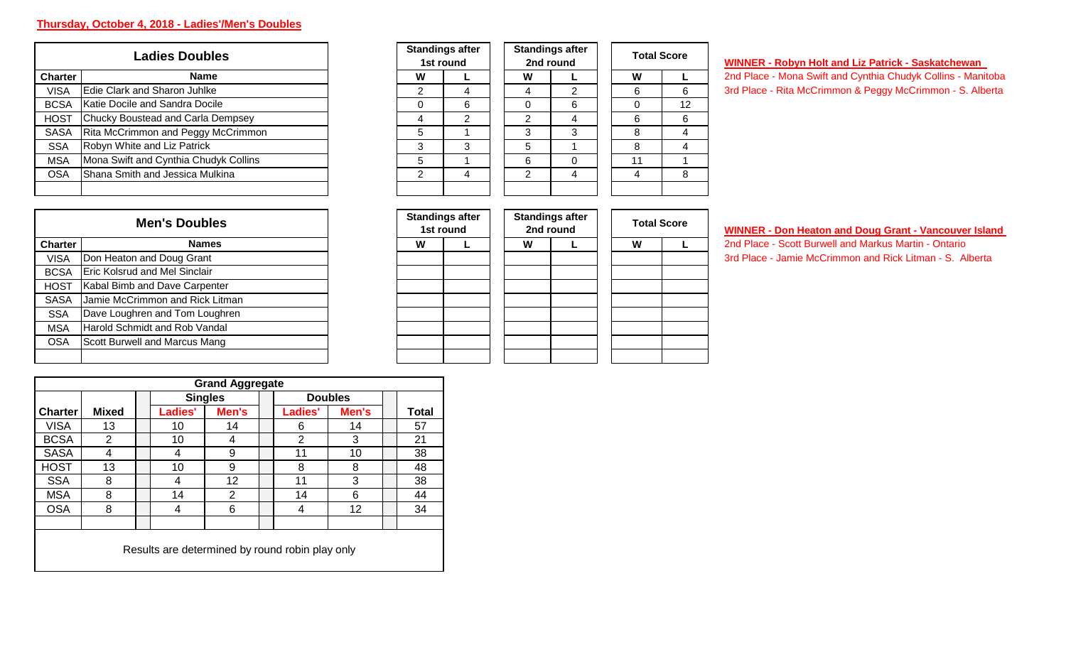## **Thursday, October 4, 2018 - Ladies'/Men's Doubles**

| <b>Ladies Doubles</b> |                                       |  |  |  |  |  |  |  |
|-----------------------|---------------------------------------|--|--|--|--|--|--|--|
| <b>Charter</b>        | <b>Name</b>                           |  |  |  |  |  |  |  |
| <b>VISA</b>           | Edie Clark and Sharon Juhlke          |  |  |  |  |  |  |  |
| <b>BCSA</b>           | lKatie Docile and Sandra Docile       |  |  |  |  |  |  |  |
| <b>HOST</b>           | Chucky Boustead and Carla Dempsey     |  |  |  |  |  |  |  |
| <b>SASA</b>           | Rita McCrimmon and Peggy McCrimmon    |  |  |  |  |  |  |  |
| <b>SSA</b>            | Robyn White and Liz Patrick           |  |  |  |  |  |  |  |
| <b>MSA</b>            | Mona Swift and Cynthia Chudyk Collins |  |  |  |  |  |  |  |
| <b>OSA</b>            | Shana Smith and Jessica Mulkina       |  |  |  |  |  |  |  |
|                       |                                       |  |  |  |  |  |  |  |

| <b>OSA</b>     | Shana Smith and Jessica Mulkina      |  | 2 | 4                                   | 2 | 4                                   | 4 | 8                  |
|----------------|--------------------------------------|--|---|-------------------------------------|---|-------------------------------------|---|--------------------|
|                | <b>Men's Doubles</b>                 |  |   | <b>Standings after</b><br>1st round |   | <b>Standings after</b><br>2nd round |   | <b>Total Score</b> |
| <b>Charter</b> | <b>Names</b>                         |  | W |                                     | W |                                     | W |                    |
| <b>VISA</b>    | Don Heaton and Doug Grant            |  |   |                                     |   |                                     |   |                    |
| <b>BCSA</b>    | <b>Eric Kolsrud and Mel Sinclair</b> |  |   |                                     |   |                                     |   |                    |
| <b>HOST</b>    | Kabal Bimb and Dave Carpenter        |  |   |                                     |   |                                     |   |                    |
| <b>SASA</b>    | Jamie McCrimmon and Rick Litman      |  |   |                                     |   |                                     |   |                    |
| <b>SSA</b>     | Dave Loughren and Tom Loughren       |  |   |                                     |   |                                     |   |                    |
| <b>MSA</b>     | Harold Schmidt and Rob Vandal        |  |   |                                     |   |                                     |   |                    |
| <b>OSA</b>     | Scott Burwell and Marcus Mang        |  |   |                                     |   |                                     |   |                    |
|                |                                      |  |   |                                     |   |                                     |   |                    |

|             | <b>Ladies Doubles</b>                 |   | <b>Standings after</b><br>1st round |          | <b>Standings after</b><br>2nd round |    | <b>Total Score</b> |
|-------------|---------------------------------------|---|-------------------------------------|----------|-------------------------------------|----|--------------------|
| Charter     | <b>Name</b>                           | W |                                     | W        |                                     | W  |                    |
| <b>VISA</b> | Edie Clark and Sharon Juhlke          | 2 |                                     | 4        | 2                                   | 6  | 6                  |
| <b>BCSA</b> | Katie Docile and Sandra Docile        | 0 | 6                                   | $\Omega$ | 6                                   |    | 12                 |
| <b>HOST</b> | Chucky Boustead and Carla Dempsey     | 4 | 2                                   | 2        | 4                                   | 6  | 6                  |
| <b>SASA</b> | Rita McCrimmon and Peggy McCrimmon    | 5 |                                     | 3        | 3                                   | 8  | 4                  |
| <b>SSA</b>  | Robyn White and Liz Patrick           | 3 | 3                                   | 5        |                                     | 8  |                    |
| <b>MSA</b>  | Mona Swift and Cynthia Chudyk Collins | 5 |                                     | 6        | 0                                   | 11 |                    |
| <b>OSA</b>  | Shana Smith and Jessica Mulkina       | 2 | 4                                   | 2        | 4                                   | 4  | 8                  |
|             |                                       |   |                                     |          |                                     |    |                    |

### **WINNER - Robyn Holt and Liz Patrick - Saskatchewan**

3rd Place - Rita McCrimmon & Peggy McCrimmon - S. Alberta 2nd Place - Mona Swift and Cynthia Chudyk Collins - Manitoba

|                | <b>Men's Doubles</b>                 |  |   | <b>Standings after</b><br>1st round |   | <b>Standings after</b><br>2nd round | <b>Total Score</b> | WINNER - Don Heaton and Doug Grant - Vancouver Island    |
|----------------|--------------------------------------|--|---|-------------------------------------|---|-------------------------------------|--------------------|----------------------------------------------------------|
| <b>Charter</b> | Names                                |  | w |                                     | W |                                     | W                  | 2nd Place - Scott Burwell and Markus Martin - Ontario    |
| <b>VISA</b>    | Don Heaton and Doug Grant            |  |   |                                     |   |                                     |                    | 3rd Place - Jamie McCrimmon and Rick Litman - S. Alberta |
| <b>BCSA</b>    | <b>Eric Kolsrud and Mel Sinclair</b> |  |   |                                     |   |                                     |                    |                                                          |
| HOST           | Kabal Bimb and Dave Carpenter        |  |   |                                     |   |                                     |                    |                                                          |
| <b>SASA</b>    | Jamie McCrimmon and Rick Litman      |  |   |                                     |   |                                     |                    |                                                          |
| <b>SSA</b>     | Dave Loughren and Tom Loughren       |  |   |                                     |   |                                     |                    |                                                          |
| <b>MSA</b>     | Harold Schmidt and Rob Vandal        |  |   |                                     |   |                                     |                    |                                                          |
| <b>OSA</b>     | Scott Burwell and Marcus Mang        |  |   |                                     |   |                                     |                    |                                                          |
|                |                                      |  |   |                                     |   |                                     |                    |                                                          |

|  |  |  | WINNER - Don Heaton and Doug Grant - Vancouver Island |  |
|--|--|--|-------------------------------------------------------|--|
|  |  |  |                                                       |  |

| <b>Grand Aggregate</b> |                |  |                                                 |       |  |         |                |  |              |
|------------------------|----------------|--|-------------------------------------------------|-------|--|---------|----------------|--|--------------|
|                        |                |  | <b>Singles</b>                                  |       |  |         | <b>Doubles</b> |  |              |
| <b>Charter</b>         | <b>Mixed</b>   |  | Ladies'                                         | Men's |  | Ladies' | Men's          |  | <b>Total</b> |
| <b>VISA</b>            | 13             |  | 10                                              | 14    |  | 6       | 14             |  | 57           |
| <b>BCSA</b>            | $\overline{2}$ |  | 10                                              | 4     |  | າ       | 3              |  | 21           |
| SASA                   | 4              |  | 4                                               | 9     |  | 11      | 10             |  | 38           |
| <b>HOST</b>            | 13             |  | 10                                              | 9     |  | 8       | 8              |  | 48           |
| <b>SSA</b>             | 8              |  | 4                                               | 12    |  | 11      | 3              |  | 38           |
| <b>MSA</b>             | 8              |  | 14                                              | っ     |  | 14      | 6              |  | 44           |
| <b>OSA</b>             | 8              |  | 4                                               | 6     |  | 4       | 12             |  | 34           |
|                        |                |  |                                                 |       |  |         |                |  |              |
|                        |                |  | Results are determined by round robin play only |       |  |         |                |  |              |
|                        |                |  |                                                 |       |  |         |                |  |              |